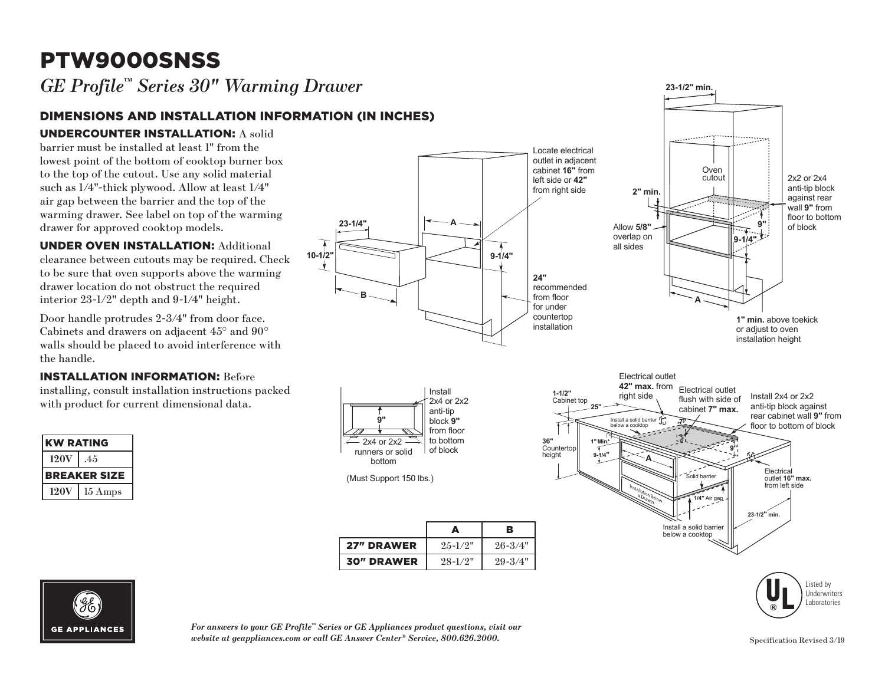# PTW9000SNSS

*GE Profile™ Series 30" Warming Drawer*

## DIMENSIONS AND INSTALLATION INFORMATION (IN INCHES)

#### UNDERCOUNTER INSTALLATION: A solid

barrier must be installed at least 1" from the **23-1/4"** lowest point of the bottom of cooktop burner box to the top of the cutout. Use any solid material **23-1/4"** such as  $1/4$ "-thick plywood. Allow at least  $1/4$ " air gap between the barrier and the top of the warming drawer. See label on top of the warming drawer for approved cooktop models. **B**

UNDER OVEN INSTALLATION: Additional **B** clearance between cutouts may be required. Check to be sure that oven supports above the warming drawer location do not obstruct the required interior 23-1/2" depth and 9-1/4" height.

Door handle protrudes 2-3/4" from door face. Cabinets and drawers on adjacent 45° and 90° walls should be placed to avoid interference with the handle.

#### INSTALLATION INFORMATION: Before

installing, consult installation instructions packed with product for current dimensional data.

| <b>KW RATING</b>    |         |
|---------------------|---------|
| <b>120V</b>         | .45     |
| <b>BREAKER SIZE</b> |         |
| <b>120V</b>         | 15 Amps |





**27" DRAWER**  $25\cdot 1/2$ "  $26\cdot 3/4$ "

A B



**23-1/2" min.** 





*For answers to your GE Profile™ Series or GE Appliances product questions, visit our*  website at geappliances.com or call GE Answer Center® Service, 800.626.2000. Specification Revised 3/19 Specification Revised 3/19 <sup>3</sup> o your GE Profile<sup>"</sup> Series or GE Appliances product quantum CE Profile

Dimensions (in inches)

**30" DRAWER** 28-1/2" 29-3/4"